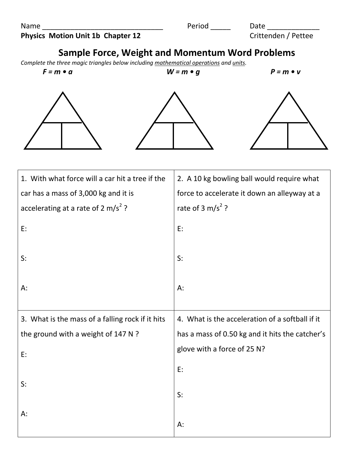| Name                                     | Period | Date                |
|------------------------------------------|--------|---------------------|
| <b>Physics Motion Unit 1b Chapter 12</b> |        | Crittenden / Pettee |

## **Sample Force, Weight and Momentum Word Problems**

*Complete the three magic triangles below including mathematical operations and units.*

 $F = m \cdot a$   $W = m \cdot g$   $P = m \cdot v$ 

| 1. With what force will a car hit a tree if the  | 2. A 10 kg bowling ball would require what      |
|--------------------------------------------------|-------------------------------------------------|
| car has a mass of 3,000 kg and it is             | force to accelerate it down an alleyway at a    |
| accelerating at a rate of 2 m/s <sup>2</sup> ?   | rate of 3 m/s <sup>2</sup> ?                    |
| E:                                               | E:                                              |
| S:                                               | S:                                              |
| A:                                               | A:                                              |
| 3. What is the mass of a falling rock if it hits | 4. What is the acceleration of a softball if it |
|                                                  |                                                 |
| the ground with a weight of 147 N ?              | has a mass of 0.50 kg and it hits the catcher's |
| E:                                               | glove with a force of 25 N?                     |
|                                                  | E:                                              |
| S:                                               | S:                                              |